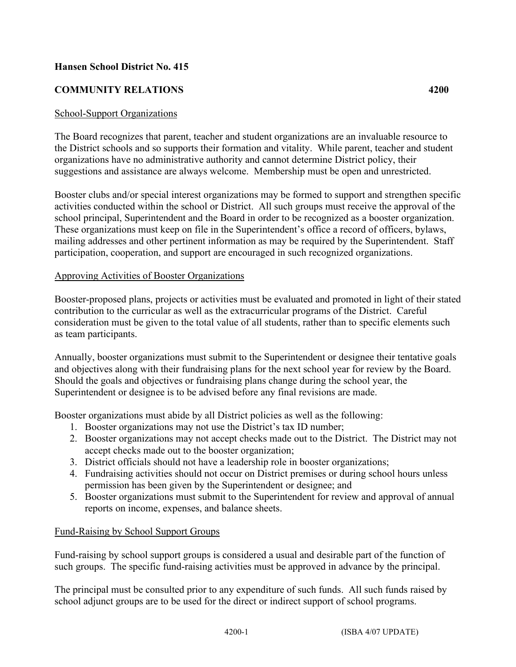## **Hansen School District No. 415**

# **COMMUNITY RELATIONS 4200**

### School-Support Organizations

The Board recognizes that parent, teacher and student organizations are an invaluable resource to the District schools and so supports their formation and vitality. While parent, teacher and student organizations have no administrative authority and cannot determine District policy, their suggestions and assistance are always welcome. Membership must be open and unrestricted.

Booster clubs and/or special interest organizations may be formed to support and strengthen specific activities conducted within the school or District. All such groups must receive the approval of the school principal, Superintendent and the Board in order to be recognized as a booster organization. These organizations must keep on file in the Superintendent's office a record of officers, bylaws, mailing addresses and other pertinent information as may be required by the Superintendent. Staff participation, cooperation, and support are encouraged in such recognized organizations.

### Approving Activities of Booster Organizations

Booster-proposed plans, projects or activities must be evaluated and promoted in light of their stated contribution to the curricular as well as the extracurricular programs of the District. Careful consideration must be given to the total value of all students, rather than to specific elements such as team participants.

Annually, booster organizations must submit to the Superintendent or designee their tentative goals and objectives along with their fundraising plans for the next school year for review by the Board. Should the goals and objectives or fundraising plans change during the school year, the Superintendent or designee is to be advised before any final revisions are made.

Booster organizations must abide by all District policies as well as the following:

- 1. Booster organizations may not use the District's tax ID number;
- 2. Booster organizations may not accept checks made out to the District. The District may not accept checks made out to the booster organization;
- 3. District officials should not have a leadership role in booster organizations;
- 4. Fundraising activities should not occur on District premises or during school hours unless permission has been given by the Superintendent or designee; and
- 5. Booster organizations must submit to the Superintendent for review and approval of annual reports on income, expenses, and balance sheets.

### Fund-Raising by School Support Groups

Fund-raising by school support groups is considered a usual and desirable part of the function of such groups. The specific fund-raising activities must be approved in advance by the principal.

The principal must be consulted prior to any expenditure of such funds. All such funds raised by school adjunct groups are to be used for the direct or indirect support of school programs.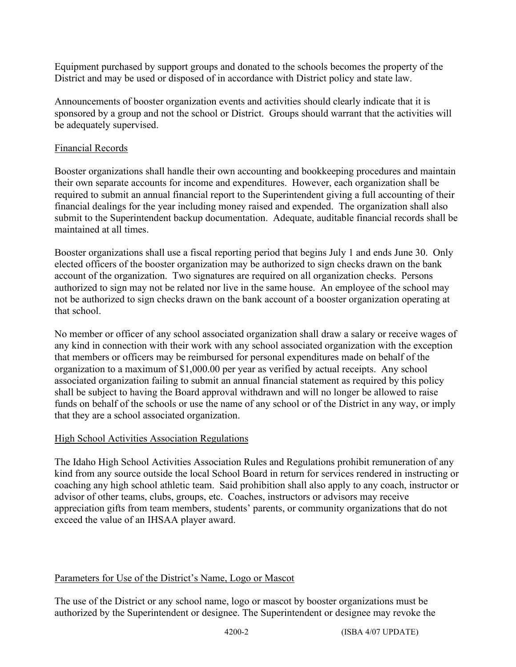Equipment purchased by support groups and donated to the schools becomes the property of the District and may be used or disposed of in accordance with District policy and state law.

Announcements of booster organization events and activities should clearly indicate that it is sponsored by a group and not the school or District. Groups should warrant that the activities will be adequately supervised.

### Financial Records

Booster organizations shall handle their own accounting and bookkeeping procedures and maintain their own separate accounts for income and expenditures. However, each organization shall be required to submit an annual financial report to the Superintendent giving a full accounting of their financial dealings for the year including money raised and expended. The organization shall also submit to the Superintendent backup documentation. Adequate, auditable financial records shall be maintained at all times.

Booster organizations shall use a fiscal reporting period that begins July 1 and ends June 30. Only elected officers of the booster organization may be authorized to sign checks drawn on the bank account of the organization. Two signatures are required on all organization checks. Persons authorized to sign may not be related nor live in the same house. An employee of the school may not be authorized to sign checks drawn on the bank account of a booster organization operating at that school.

No member or officer of any school associated organization shall draw a salary or receive wages of any kind in connection with their work with any school associated organization with the exception that members or officers may be reimbursed for personal expenditures made on behalf of the organization to a maximum of \$1,000.00 per year as verified by actual receipts. Any school associated organization failing to submit an annual financial statement as required by this policy shall be subject to having the Board approval withdrawn and will no longer be allowed to raise funds on behalf of the schools or use the name of any school or of the District in any way, or imply that they are a school associated organization.

#### High School Activities Association Regulations

The Idaho High School Activities Association Rules and Regulations prohibit remuneration of any kind from any source outside the local School Board in return for services rendered in instructing or coaching any high school athletic team. Said prohibition shall also apply to any coach, instructor or advisor of other teams, clubs, groups, etc. Coaches, instructors or advisors may receive appreciation gifts from team members, students' parents, or community organizations that do not exceed the value of an IHSAA player award.

#### Parameters for Use of the District's Name, Logo or Mascot

The use of the District or any school name, logo or mascot by booster organizations must be authorized by the Superintendent or designee. The Superintendent or designee may revoke the